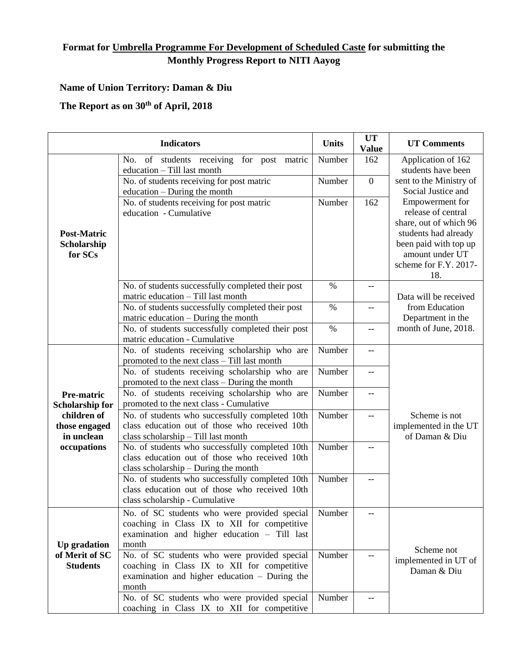## **Format for Umbrella Programme For Development of Scheduled Caste for submitting the Monthly Progress Report to NITI Aayog**

## **Name of Union Territory: Daman & Diu**

## **The Report as on 30th of April, 2018**

|                                       | <b>Indicators</b>                                                                              | <b>Units</b> | <b>UT</b><br><b>Value</b>                           | <b>UT Comments</b>                             |
|---------------------------------------|------------------------------------------------------------------------------------------------|--------------|-----------------------------------------------------|------------------------------------------------|
|                                       | of students receiving for post matric<br>No.                                                   | Number       | 162                                                 | Application of 162                             |
|                                       | education - Till last month                                                                    |              |                                                     | students have been                             |
|                                       | No. of students receiving for post matric                                                      | Number       | $\boldsymbol{0}$                                    | sent to the Ministry of                        |
|                                       | education – During the month                                                                   |              |                                                     | Social Justice and                             |
|                                       | No. of students receiving for post matric                                                      | Number       | 162                                                 | Empowerment for                                |
|                                       | education - Cumulative                                                                         |              |                                                     | release of central                             |
|                                       |                                                                                                |              |                                                     | share, out of which 96<br>students had already |
| <b>Post-Matric</b>                    |                                                                                                |              |                                                     | been paid with top up                          |
| Scholarship<br>for SCs                |                                                                                                |              |                                                     | amount under UT                                |
|                                       |                                                                                                |              |                                                     | scheme for F.Y. 2017-                          |
|                                       |                                                                                                |              |                                                     | 18.                                            |
|                                       | No. of students successfully completed their post                                              | $\%$         | $-$                                                 |                                                |
|                                       | matric education - Till last month                                                             |              |                                                     | Data will be received                          |
|                                       | No. of students successfully completed their post                                              | $\%$         | $\hspace{0.05cm} -\hspace{0.05cm} -\hspace{0.05cm}$ | from Education                                 |
|                                       | matric education – During the month                                                            |              |                                                     | Department in the                              |
|                                       | No. of students successfully completed their post                                              | $\%$         | --                                                  | month of June, 2018.                           |
|                                       | matric education - Cumulative                                                                  |              |                                                     |                                                |
|                                       | No. of students receiving scholarship who are                                                  | Number       | --                                                  |                                                |
|                                       | promoted to the next class - Till last month                                                   |              |                                                     |                                                |
|                                       | No. of students receiving scholarship who are                                                  | Number       | $-$                                                 |                                                |
|                                       | promoted to the next class - During the month<br>No. of students receiving scholarship who are | Number       | $-$                                                 |                                                |
| Pre-matric                            | promoted to the next class - Cumulative                                                        |              |                                                     |                                                |
| <b>Scholarship for</b><br>children of | No. of students who successfully completed 10th                                                | Number       | $-$                                                 | Scheme is not                                  |
| those engaged                         | class education out of those who received 10th                                                 |              |                                                     | implemented in the UT                          |
| in unclean                            | class scholarship - Till last month                                                            |              |                                                     | of Daman & Diu                                 |
| occupations                           | No. of students who successfully completed 10th                                                | Number       | $-$                                                 |                                                |
|                                       | class education out of those who received 10th                                                 |              |                                                     |                                                |
|                                       | class scholarship - During the month                                                           |              |                                                     |                                                |
|                                       | No. of students who successfully completed 10th                                                | Number       | $-$                                                 |                                                |
|                                       | class education out of those who received 10th                                                 |              |                                                     |                                                |
|                                       | class scholarship - Cumulative                                                                 |              |                                                     |                                                |
|                                       | No. of SC students who were provided special                                                   | Number       | --                                                  |                                                |
|                                       | coaching in Class IX to XII for competitive                                                    |              |                                                     |                                                |
|                                       | examination and higher education - Till last                                                   |              |                                                     |                                                |
| Up gradation                          | month                                                                                          |              |                                                     | Scheme not                                     |
| of Merit of SC                        | No. of SC students who were provided special                                                   | Number       |                                                     | implemented in UT of                           |
| <b>Students</b>                       | coaching in Class IX to XII for competitive<br>examination and higher education - During the   |              |                                                     | Daman & Diu                                    |
|                                       | month                                                                                          |              |                                                     |                                                |
|                                       | No. of SC students who were provided special                                                   | Number       |                                                     |                                                |
|                                       | coaching in Class IX to XII for competitive                                                    |              |                                                     |                                                |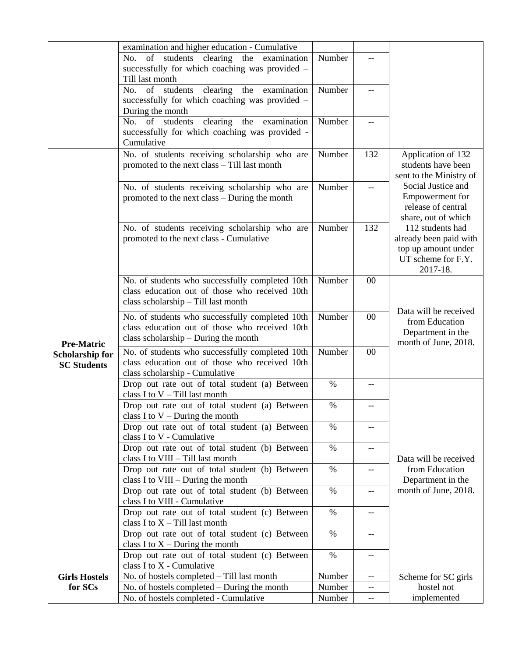|                                                                   | examination and higher education - Cumulative                                                                                             |        |                          |                                                                                                     |
|-------------------------------------------------------------------|-------------------------------------------------------------------------------------------------------------------------------------------|--------|--------------------------|-----------------------------------------------------------------------------------------------------|
|                                                                   | of students clearing the examination<br>No.<br>successfully for which coaching was provided -<br>Till last month                          | Number | $-$                      |                                                                                                     |
|                                                                   | of students clearing the examination<br>No.<br>successfully for which coaching was provided -<br>During the month                         | Number |                          |                                                                                                     |
|                                                                   | clearing the<br>of students<br>No.<br>examination<br>successfully for which coaching was provided -<br>Cumulative                         | Number | --                       |                                                                                                     |
|                                                                   | No. of students receiving scholarship who are<br>promoted to the next class - Till last month                                             | Number | 132                      | Application of 132<br>students have been<br>sent to the Ministry of                                 |
|                                                                   | No. of students receiving scholarship who are<br>promoted to the next class – During the month                                            | Number | $-$                      | Social Justice and<br>Empowerment for<br>release of central<br>share, out of which                  |
| <b>Pre-Matric</b><br><b>Scholarship for</b><br><b>SC Students</b> | No. of students receiving scholarship who are<br>promoted to the next class - Cumulative                                                  | Number | 132                      | 112 students had<br>already been paid with<br>top up amount under<br>UT scheme for F.Y.<br>2017-18. |
|                                                                   | No. of students who successfully completed 10th<br>class education out of those who received 10th<br>class scholarship - Till last month  | Number | $00\,$                   |                                                                                                     |
|                                                                   | No. of students who successfully completed 10th<br>class education out of those who received 10th<br>class scholarship - During the month | Number | $00\,$                   | Data will be received<br>from Education<br>Department in the<br>month of June, 2018.                |
|                                                                   | No. of students who successfully completed 10th<br>class education out of those who received 10th<br>class scholarship - Cumulative       | Number | 00                       |                                                                                                     |
|                                                                   | Drop out rate out of total student (a) Between<br>class I to $V - Till$ last month                                                        | $\%$   | $-$                      |                                                                                                     |
|                                                                   | Drop out rate out of total student (a) Between<br>class I to $V$ – During the month                                                       | $\%$   | --                       |                                                                                                     |
|                                                                   | Drop out rate out of total student (a) Between<br>class I to V - Cumulative                                                               | $\%$   | --                       |                                                                                                     |
|                                                                   | Drop out rate out of total student (b) Between<br>class I to VIII - Till last month                                                       | $\%$   | $-$                      | Data will be received                                                                               |
|                                                                   | Drop out rate out of total student (b) Between<br>class I to $VIII$ – During the month                                                    | $\%$   | $\qquad \qquad -$        | from Education<br>Department in the                                                                 |
|                                                                   | Drop out rate out of total student (b) Between<br>class I to VIII - Cumulative                                                            | $\%$   | $- -$                    | month of June, 2018.                                                                                |
|                                                                   | Drop out rate out of total student (c) Between<br>class I to $X - Till$ last month                                                        | $\%$   | $-$                      |                                                                                                     |
|                                                                   | Drop out rate out of total student (c) Between<br>class I to $X$ – During the month                                                       | %      | --                       |                                                                                                     |
|                                                                   | Drop out rate out of total student (c) Between<br>class I to X - Cumulative                                                               | $\%$   | $\qquad \qquad -$        |                                                                                                     |
| <b>Girls Hostels</b>                                              | No. of hostels completed - Till last month                                                                                                | Number | $\overline{\phantom{a}}$ | Scheme for SC girls                                                                                 |
| for SCs                                                           | No. of hostels completed $-$ During the month                                                                                             | Number | --                       | hostel not                                                                                          |
|                                                                   | No. of hostels completed - Cumulative                                                                                                     | Number | $- -$                    | implemented                                                                                         |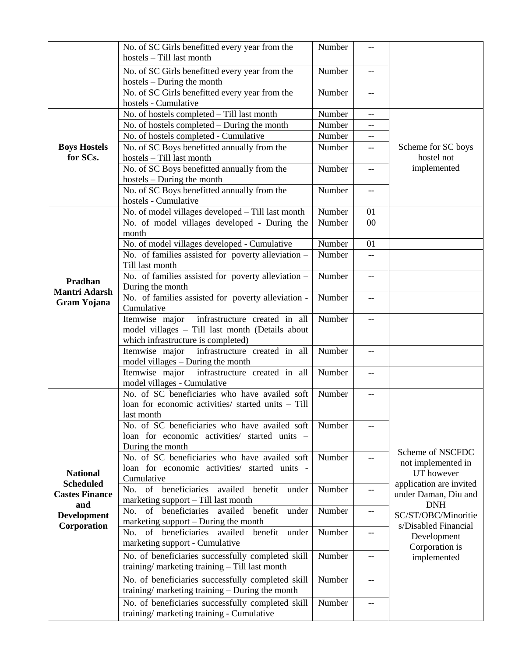|                                          | No. of SC Girls benefitted every year from the                               | Number | --                                                  |                                   |
|------------------------------------------|------------------------------------------------------------------------------|--------|-----------------------------------------------------|-----------------------------------|
|                                          | hostels - Till last month                                                    |        |                                                     |                                   |
|                                          | No. of SC Girls benefitted every year from the<br>hostels – During the month | Number | $-$                                                 |                                   |
|                                          | No. of SC Girls benefitted every year from the<br>hostels - Cumulative       | Number | $-\,-$                                              |                                   |
|                                          | No. of hostels completed - Till last month                                   | Number | $\hspace{0.05cm} -\hspace{0.05cm} -\hspace{0.05cm}$ |                                   |
|                                          | No. of hostels completed – During the month                                  | Number | $\overline{\phantom{m}}$                            |                                   |
|                                          | No. of hostels completed - Cumulative                                        | Number | $-$                                                 |                                   |
| <b>Boys Hostels</b>                      | No. of SC Boys benefitted annually from the                                  | Number | $\hspace{0.05cm} -\hspace{0.05cm} -\hspace{0.05cm}$ | Scheme for SC boys                |
| for SCs.                                 | hostels - Till last month                                                    |        |                                                     | hostel not                        |
|                                          | No. of SC Boys benefitted annually from the                                  | Number | $-$                                                 | implemented                       |
|                                          | hostels – During the month                                                   |        |                                                     |                                   |
|                                          | No. of SC Boys benefitted annually from the                                  | Number | --                                                  |                                   |
|                                          | hostels - Cumulative                                                         |        |                                                     |                                   |
|                                          | No. of model villages developed - Till last month                            | Number | 01                                                  |                                   |
|                                          | No. of model villages developed - During the                                 | Number | 00                                                  |                                   |
|                                          | month                                                                        |        |                                                     |                                   |
|                                          | No. of model villages developed - Cumulative                                 | Number | 01                                                  |                                   |
|                                          | No. of families assisted for poverty alleviation $-$                         | Number | $-$                                                 |                                   |
|                                          | Till last month                                                              |        |                                                     |                                   |
| Pradhan                                  | No. of families assisted for poverty alleviation -                           | Number | $- \, -$                                            |                                   |
| <b>Mantri Adarsh</b>                     | During the month                                                             |        |                                                     |                                   |
| <b>Gram Yojana</b>                       | No. of families assisted for poverty alleviation -<br>Cumulative             | Number | $-$                                                 |                                   |
|                                          | infrastructure created in all<br>Itemwise major                              | Number | --                                                  |                                   |
|                                          | model villages - Till last month (Details about                              |        |                                                     |                                   |
|                                          | which infrastructure is completed)                                           |        |                                                     |                                   |
|                                          | infrastructure created in all<br>Itemwise major                              | Number | $- -$                                               |                                   |
|                                          | model villages $-$ During the month                                          |        |                                                     |                                   |
|                                          | Itemwise major infrastructure created in all                                 | Number | $\hspace{0.05cm} -\hspace{0.05cm} -\hspace{0.05cm}$ |                                   |
|                                          | model villages - Cumulative                                                  |        |                                                     |                                   |
|                                          | No. of SC beneficiaries who have availed soft                                | Number | --                                                  |                                   |
|                                          | loan for economic activities/ started units - Till<br>last month             |        |                                                     |                                   |
|                                          | No. of SC beneficiaries who have availed soft                                | Number |                                                     |                                   |
|                                          | loan for economic activities/ started units -                                |        |                                                     |                                   |
|                                          | During the month                                                             |        |                                                     |                                   |
|                                          | No. of SC beneficiaries who have availed soft                                | Number | --                                                  | Scheme of NSCFDC                  |
|                                          | loan for economic activities/ started units -                                |        |                                                     | not implemented in                |
| <b>National</b>                          | Cumulative                                                                   |        |                                                     | UT however                        |
| <b>Scheduled</b>                         | No. of beneficiaries availed benefit<br>under                                | Number | $-$                                                 | application are invited           |
| <b>Castes Finance</b>                    | marketing support - Till last month                                          |        |                                                     | under Daman, Diu and              |
| and<br><b>Development</b><br>Corporation | of beneficiaries availed<br>benefit<br>No.<br>under                          | Number | $-\,-$                                              | <b>DNH</b><br>SC/ST/OBC/Minoritie |
|                                          | marketing support $-$ During the month                                       |        |                                                     | s/Disabled Financial              |
|                                          | of beneficiaries availed<br>benefit<br>No.<br>under                          | Number | $-$                                                 | Development                       |
|                                          | marketing support - Cumulative                                               |        |                                                     | Corporation is                    |
|                                          | No. of beneficiaries successfully completed skill                            | Number | $- -$                                               | implemented                       |
|                                          | training/marketing training - Till last month                                |        |                                                     |                                   |
|                                          | No. of beneficiaries successfully completed skill                            | Number | --                                                  |                                   |
|                                          | training/marketing training - During the month                               |        |                                                     |                                   |
|                                          | No. of beneficiaries successfully completed skill                            | Number | --                                                  |                                   |
|                                          | training/marketing training - Cumulative                                     |        |                                                     |                                   |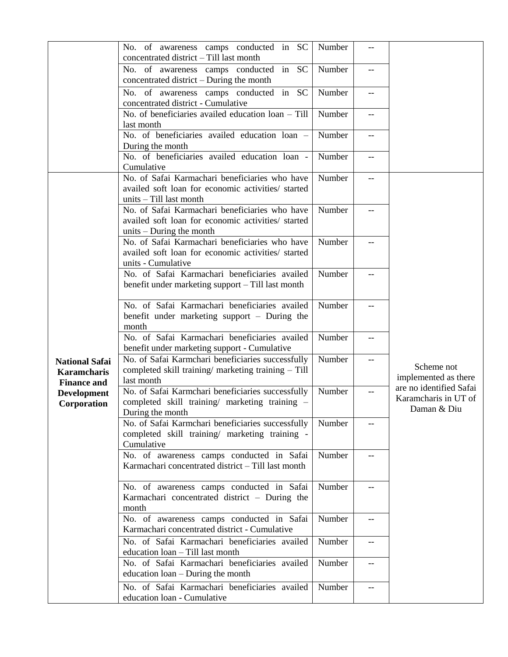|                                                                                                        | No. of awareness camps conducted in SC                                                                                             | Number | $-$ |                                                                |
|--------------------------------------------------------------------------------------------------------|------------------------------------------------------------------------------------------------------------------------------------|--------|-----|----------------------------------------------------------------|
|                                                                                                        | concentrated district - Till last month<br>No. of awareness camps conducted in SC<br>concentrated district – During the month      | Number | $-$ |                                                                |
|                                                                                                        | No. of awareness camps conducted in SC<br>concentrated district - Cumulative                                                       | Number | --  |                                                                |
|                                                                                                        | No. of beneficiaries availed education loan - Till<br>last month                                                                   | Number | $-$ |                                                                |
|                                                                                                        | No. of beneficiaries availed education loan -<br>During the month                                                                  | Number | --  |                                                                |
|                                                                                                        | No. of beneficiaries availed education loan -<br>Cumulative                                                                        | Number | $-$ |                                                                |
|                                                                                                        | No. of Safai Karmachari beneficiaries who have<br>availed soft loan for economic activities/ started<br>units - Till last month    | Number | --  |                                                                |
|                                                                                                        | No. of Safai Karmachari beneficiaries who have<br>availed soft loan for economic activities/ started<br>units $-$ During the month | Number |     |                                                                |
| <b>National Safai</b><br><b>Karamcharis</b><br><b>Finance and</b><br><b>Development</b><br>Corporation | No. of Safai Karmachari beneficiaries who have<br>availed soft loan for economic activities/ started<br>units - Cumulative         | Number | $-$ |                                                                |
|                                                                                                        | No. of Safai Karmachari beneficiaries availed<br>benefit under marketing support - Till last month                                 | Number | --  |                                                                |
|                                                                                                        | No. of Safai Karmachari beneficiaries availed<br>benefit under marketing support – During the<br>month                             | Number |     |                                                                |
|                                                                                                        | No. of Safai Karmachari beneficiaries availed<br>benefit under marketing support - Cumulative                                      | Number | --  |                                                                |
|                                                                                                        | No. of Safai Karmchari beneficiaries successfully<br>completed skill training/ marketing training - Till<br>last month             | Number | --  | Scheme not<br>implemented as there                             |
|                                                                                                        | No. of Safai Karmchari beneficiaries successfully<br>completed skill training/ marketing training -<br>During the month            | Number | $-$ | are no identified Safai<br>Karamcharis in UT of<br>Daman & Diu |
|                                                                                                        | No. of Safai Karmchari beneficiaries successfully<br>completed skill training/ marketing training -<br>Cumulative                  | Number |     |                                                                |
|                                                                                                        | No. of awareness camps conducted in Safai<br>Karmachari concentrated district - Till last month                                    | Number |     |                                                                |
|                                                                                                        | No. of awareness camps conducted in Safai<br>Karmachari concentrated district - During the<br>month                                | Number |     |                                                                |
|                                                                                                        | No. of awareness camps conducted in Safai<br>Karmachari concentrated district - Cumulative                                         | Number |     |                                                                |
|                                                                                                        | No. of Safai Karmachari beneficiaries availed<br>education loan - Till last month                                                  | Number | $-$ |                                                                |
|                                                                                                        | No. of Safai Karmachari beneficiaries availed<br>education loan – During the month                                                 | Number | $-$ |                                                                |
|                                                                                                        | No. of Safai Karmachari beneficiaries availed<br>education loan - Cumulative                                                       | Number | --  |                                                                |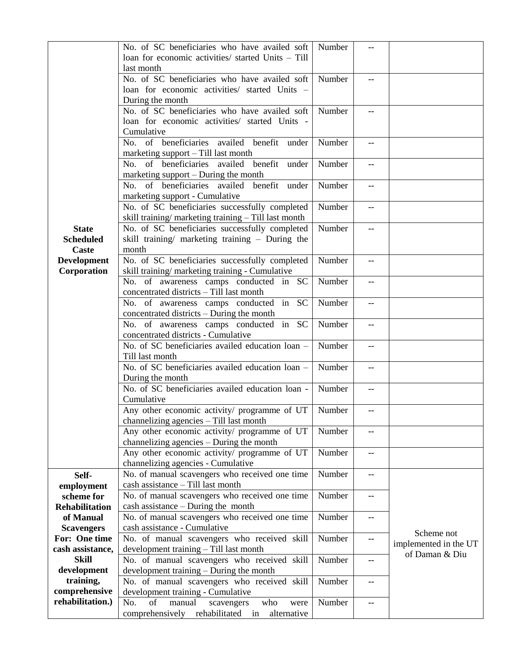|                       | No. of SC beneficiaries who have availed soft                                             | Number | $-$               |                       |
|-----------------------|-------------------------------------------------------------------------------------------|--------|-------------------|-----------------------|
|                       | loan for economic activities/ started Units - Till                                        |        |                   |                       |
|                       | last month                                                                                |        |                   |                       |
|                       | No. of SC beneficiaries who have availed soft                                             | Number | $-$               |                       |
|                       | loan for economic activities/ started Units -                                             |        |                   |                       |
|                       | During the month                                                                          |        |                   |                       |
|                       | No. of SC beneficiaries who have availed soft                                             | Number | $-$               |                       |
|                       | loan for economic activities/ started Units -                                             |        |                   |                       |
|                       | Cumulative                                                                                |        |                   |                       |
|                       | No. of beneficiaries availed benefit under<br>marketing support - Till last month         | Number | $-$               |                       |
|                       | No. of beneficiaries availed benefit under                                                | Number | $-$               |                       |
|                       | marketing support – During the month                                                      |        |                   |                       |
|                       | No. of beneficiaries availed benefit under                                                | Number | $-$               |                       |
|                       | marketing support - Cumulative                                                            |        |                   |                       |
|                       | No. of SC beneficiaries successfully completed                                            | Number | $-$               |                       |
|                       | skill training/marketing training - Till last month                                       |        |                   |                       |
| <b>State</b>          | No. of SC beneficiaries successfully completed                                            | Number | --                |                       |
| <b>Scheduled</b>      | skill training/ marketing training - During the                                           |        |                   |                       |
| <b>Caste</b>          | month                                                                                     |        |                   |                       |
| <b>Development</b>    | No. of SC beneficiaries successfully completed                                            | Number | $-$               |                       |
| Corporation           | skill training/ marketing training - Cumulative<br>No. of awareness camps conducted in SC | Number | --                |                       |
|                       | concentrated districts - Till last month                                                  |        |                   |                       |
|                       | No. of awareness camps conducted in SC                                                    | Number | $-$               |                       |
|                       | concentrated districts – During the month                                                 |        |                   |                       |
|                       | No. of awareness camps conducted in SC                                                    | Number | $-$               |                       |
|                       | concentrated districts - Cumulative                                                       |        |                   |                       |
|                       | No. of SC beneficiaries availed education loan -                                          | Number | $-$               |                       |
|                       | Till last month                                                                           |        |                   |                       |
|                       | No. of SC beneficiaries availed education loan -                                          | Number | $-$               |                       |
|                       | During the month                                                                          |        |                   |                       |
|                       | No. of SC beneficiaries availed education loan -                                          | Number | $-\,-$            |                       |
|                       | Cumulative                                                                                |        |                   |                       |
|                       | Any other economic activity/ programme of $UT$ Number                                     |        | $-$               |                       |
|                       | channelizing agencies – Till last month<br>Any other economic activity/ programme of UT   |        |                   |                       |
|                       | channelizing agencies - During the month                                                  | Number | $-$               |                       |
|                       | Any other economic activity/ programme of UT                                              | Number | --                |                       |
|                       | channelizing agencies - Cumulative                                                        |        |                   |                       |
| Self-                 | No. of manual scavengers who received one time                                            | Number | --                |                       |
| employment            | cash assistance - Till last month                                                         |        |                   |                       |
| scheme for            | No. of manual scavengers who received one time                                            | Number | $\qquad \qquad -$ |                       |
| <b>Rehabilitation</b> | $cash$ assistance – During the month                                                      |        |                   |                       |
| of Manual             | No. of manual scavengers who received one time                                            | Number | $-$               |                       |
| <b>Scavengers</b>     | cash assistance - Cumulative                                                              |        |                   | Scheme not            |
| For: One time         | No. of manual scavengers who received skill                                               | Number | $- -$             | implemented in the UT |
| cash assistance,      | development training - Till last month                                                    |        |                   | of Daman & Diu        |
| Skill                 | No. of manual scavengers who received skill                                               | Number | $- -$             |                       |
| development           | development training - During the month                                                   |        |                   |                       |
| training,             | No. of manual scavengers who received skill                                               | Number | $-$               |                       |
| comprehensive         | development training - Cumulative                                                         |        |                   |                       |
| rehabilitation.)      | of<br>No.<br>manual<br>who<br>scavengers<br>were                                          | Number | --                |                       |
|                       | comprehensively<br>rehabilitated<br>in<br>alternative                                     |        |                   |                       |